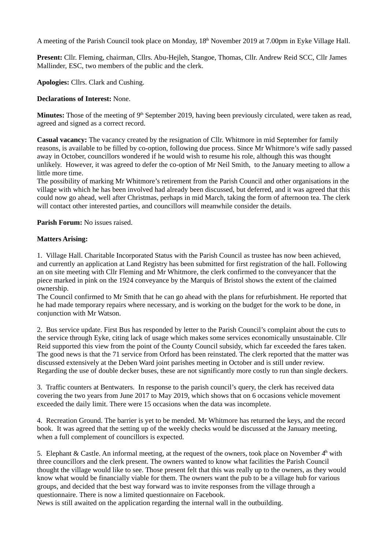A meeting of the Parish Council took place on Monday,  $18<sup>th</sup>$  November 2019 at 7.00pm in Eyke Village Hall.

**Present:** Cllr. Fleming, chairman, Cllrs. Abu-Hejleh, Stangoe, Thomas, Cllr. Andrew Reid SCC, Cllr James Mallinder, ESC, two members of the public and the clerk.

**Apologies:** Cllrs. Clark and Cushing.

## **Declarations of Interest:** None.

**Minutes:** Those of the meeting of 9<sup>th</sup> September 2019, having been previously circulated, were taken as read, agreed and signed as a correct record.

**Casual vacancy:** The vacancy created by the resignation of Cllr. Whitmore in mid September for family reasons, is available to be filled by co-option, following due process. Since Mr Whitmore's wife sadly passed away in October, councillors wondered if he would wish to resume his role, although this was thought unlikely. However, it was agreed to defer the co-option of Mr Neil Smith, to the January meeting to allow a little more time.

The possibility of marking Mr Whitmore's retirement from the Parish Council and other organisations in the village with which he has been involved had already been discussed, but deferred, and it was agreed that this could now go ahead, well after Christmas, perhaps in mid March, taking the form of afternoon tea. The clerk will contact other interested parties, and councillors will meanwhile consider the details.

**Parish Forum:** No issues raised.

### **Matters Arising:**

1. Village Hall. Charitable Incorporated Status with the Parish Council as trustee has now been achieved, and currently an application at Land Registry has been submitted for first registration of the hall. Following an on site meeting with Cllr Fleming and Mr Whitmore, the clerk confirmed to the conveyancer that the piece marked in pink on the 1924 conveyance by the Marquis of Bristol shows the extent of the claimed ownership.

The Council confirmed to Mr Smith that he can go ahead with the plans for refurbishment. He reported that he had made temporary repairs where necessary, and is working on the budget for the work to be done, in conjunction with Mr Watson.

2. Bus service update. First Bus has responded by letter to the Parish Council's complaint about the cuts to the service through Eyke, citing lack of usage which makes some services economically unsustainable. Cllr Reid supported this view from the point of the County Council subsidy, which far exceeded the fares taken. The good news is that the 71 service from Orford has been reinstated. The clerk reported that the matter was discussed extensively at the Deben Ward joint parishes meeting in October and is still under review. Regarding the use of double decker buses, these are not significantly more costly to run than single deckers.

3. Traffic counters at Bentwaters. In response to the parish council's query, the clerk has received data covering the two years from June 2017 to May 2019, which shows that on 6 occasions vehicle movement exceeded the daily limit. There were 15 occasions when the data was incomplete.

4. Recreation Ground. The barrier is yet to be mended. Mr Whitmore has returned the keys, and the record book. It was agreed that the setting up of the weekly checks would be discussed at the January meeting, when a full complement of councillors is expected.

5. Elephant & Castle. An informal meeting, at the request of the owners, took place on November  $4<sup>th</sup>$  with three councillors and the clerk present. The owners wanted to know what facilities the Parish Council thought the village would like to see. Those present felt that this was really up to the owners, as they would know what would be financially viable for them. The owners want the pub to be a village hub for various groups, and decided that the best way forward was to invite responses from the village through a questionnaire. There is now a limited questionnaire on Facebook.

News is still awaited on the application regarding the internal wall in the outbuilding.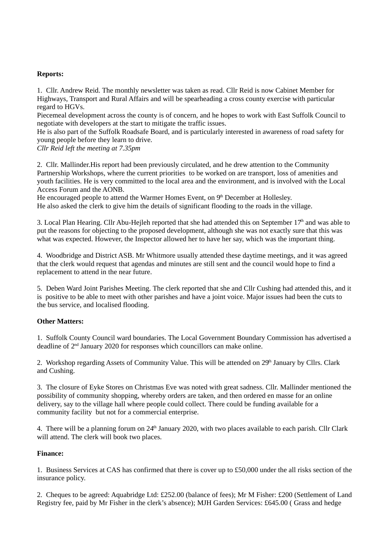## **Reports:**

1. Cllr. Andrew Reid. The monthly newsletter was taken as read. Cllr Reid is now Cabinet Member for Highways, Transport and Rural Affairs and will be spearheading a cross county exercise with particular regard to HGVs.

Piecemeal development across the county is of concern, and he hopes to work with East Suffolk Council to negotiate with developers at the start to mitigate the traffic issues.

He is also part of the Suffolk Roadsafe Board, and is particularly interested in awareness of road safety for young people before they learn to drive.

*Cllr Reid left the meeting at 7.35pm*

2. Cllr. Mallinder.His report had been previously circulated, and he drew attention to the Community Partnership Workshops, where the current priorities to be worked on are transport, loss of amenities and youth facilities. He is very committed to the local area and the environment, and is involved with the Local Access Forum and the AONB.

He encouraged people to attend the Warmer Homes Event, on  $9<sup>th</sup>$  December at Hollesley. He also asked the clerk to give him the details of significant flooding to the roads in the village.

3. Local Plan Hearing. Cllr Abu-Hejleh reported that she had attended this on September  $17<sup>th</sup>$  and was able to put the reasons for objecting to the proposed development, although she was not exactly sure that this was what was expected. However, the Inspector allowed her to have her say, which was the important thing.

4. Woodbridge and District ASB. Mr Whitmore usually attended these daytime meetings, and it was agreed that the clerk would request that agendas and minutes are still sent and the council would hope to find a replacement to attend in the near future.

5. Deben Ward Joint Parishes Meeting. The clerk reported that she and Cllr Cushing had attended this, and it is positive to be able to meet with other parishes and have a joint voice. Major issues had been the cuts to the bus service, and localised flooding.

# **Other Matters:**

1. Suffolk County Council ward boundaries. The Local Government Boundary Commission has advertised a deadline of 2nd January 2020 for responses which councillors can make online.

2. Workshop regarding Assets of Community Value. This will be attended on  $29<sup>th</sup>$  January by Cllrs. Clark and Cushing.

3. The closure of Eyke Stores on Christmas Eve was noted with great sadness. Cllr. Mallinder mentioned the possibility of community shopping, whereby orders are taken, and then ordered en masse for an online delivery, say to the village hall where people could collect. There could be funding available for a community facility but not for a commercial enterprise.

4. There will be a planning forum on 24<sup>th</sup> January 2020, with two places available to each parish. Cllr Clark will attend. The clerk will book two places.

### **Finance:**

1. Business Services at CAS has confirmed that there is cover up to £50,000 under the all risks section of the insurance policy.

2. Cheques to be agreed: Aquabridge Ltd: £252.00 (balance of fees); Mr M Fisher: £200 (Settlement of Land Registry fee, paid by Mr Fisher in the clerk's absence); MJH Garden Services: £645.00 ( Grass and hedge